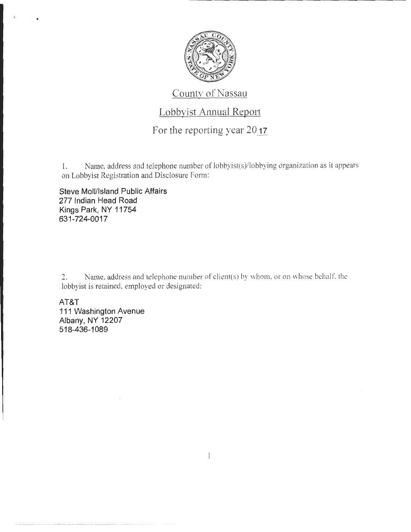

## County of Nassau

## Lobbyist Annual Report

## For the reporting year 2017

1. Name, address and telephone number of lobbyist(s)/lobbying organization as it appears on Lobbyist Registration and Disclosure Form:

**Steve Moll/Island Public Affairs 277 Indian Head Road Kings Park, NY 11754 631-724-0017** 

- .

 $2.$  Name, address and telephone number of client(s) by whom, or on whose behalf, the lobbyist is retained, employed or designated:

 $\mathbf{1}$ 

**AT&T 111 Washington Avenue Albany, NY 12207 518-436-1 089**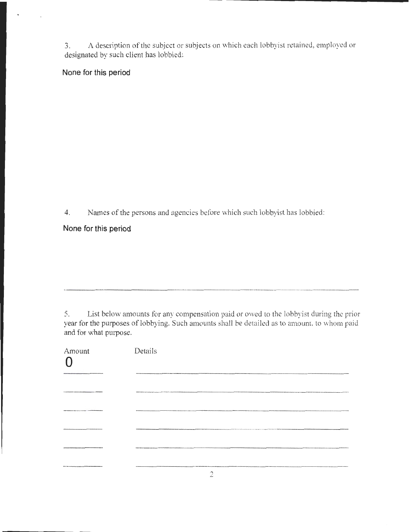3. A description of the subject or subjects on which each lobbyist retained, employed or designated by such client has lobbied:

**None for this period** 

4. Names of the persons and agencies before which such lobbyist has lobbied:

---------------·-----------····-········--·-····--

**None for this period** 

5. List below amounts for any compensation paid or owed to the lobbyist during the prior year for the purposes of lobbying. Such amounts shall be detailed as to amount, to whom paid and for what purpose.

| Amount                                                              | Details                                                                                                                                                                                                                              |
|---------------------------------------------------------------------|--------------------------------------------------------------------------------------------------------------------------------------------------------------------------------------------------------------------------------------|
|                                                                     | <b>MARINE READERS IN INVESTIGATION FOR THE ANGELES CONTINUES IN THE STATE OF A REPORT OF PROPERTY.</b>                                                                                                                               |
| as however a thirty of course the                                   |                                                                                                                                                                                                                                      |
|                                                                     | <b>BASINE MANAGEMENT DESCRIPTION AND AN ANY RESOLUTION OF A REAL PROPERTY OF THE COLUMN CONTRACT OF THE COLUMN COLUMN COLUMN CONTRACT OF THE COLUMN COLUMN COLUMN COLUMN OF A PROPERTY OF A PROPERTY OF A PROPERTY OF A PROPERTY</b> |
|                                                                     |                                                                                                                                                                                                                                      |
| the scholars searches are explained in the death the searchest with | <b>MARINEALASA ARABS EN DEPARTMENT DI MARINE DU</b>                                                                                                                                                                                  |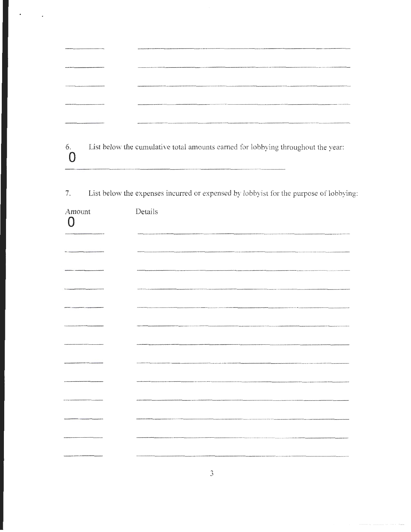| elevato hite un moneto del tempo presenta especiestro del televatorio del                                                                                                                                                                                                                                                                                                                                            |  |
|----------------------------------------------------------------------------------------------------------------------------------------------------------------------------------------------------------------------------------------------------------------------------------------------------------------------------------------------------------------------------------------------------------------------|--|
|                                                                                                                                                                                                                                                                                                                                                                                                                      |  |
|                                                                                                                                                                                                                                                                                                                                                                                                                      |  |
| $\label{thm:main} \hspace{1.5cm} \textbf{supp} \hspace{1.5cm} \textbf{supp} \hspace{1.5cm} \textbf{supp} \hspace{1.5cm} \textbf{supp} \hspace{1.5cm} \textbf{supp} \hspace{1.5cm} \textbf{supp} \hspace{1.5cm} \textbf{supp} \hspace{1.5cm} \textbf{supp} \hspace{1.5cm} \textbf{supp} \hspace{1.5cm} \textbf{supp} \hspace{1.5cm} \textbf{supp} \hspace{1.5cm} \textbf{supp} \hspace{1.5cm} \textbf{supp} \hspace{$ |  |

List below the cumulative total amounts earned for lobbying throughout the year:  $6.$  $\mathbf 0$ 

 $7. \,$ List below the expenses incurred or expensed by lobbyist for the purpose of lobbying:

| Amount<br>Π | Details                                                                                                             |
|-------------|---------------------------------------------------------------------------------------------------------------------|
|             |                                                                                                                     |
|             |                                                                                                                     |
|             |                                                                                                                     |
|             |                                                                                                                     |
|             |                                                                                                                     |
|             | .<br>Antonio de Montena e de Maria de Montena e de Montena e estadounidade de Montena.                              |
|             |                                                                                                                     |
|             |                                                                                                                     |
|             |                                                                                                                     |
|             |                                                                                                                     |
|             | .<br>Maanaa kale kale dia milaya kaominina mpakambana amin'ny fivondronan-kaominina dia 400.00000000000000000000000 |
|             |                                                                                                                     |